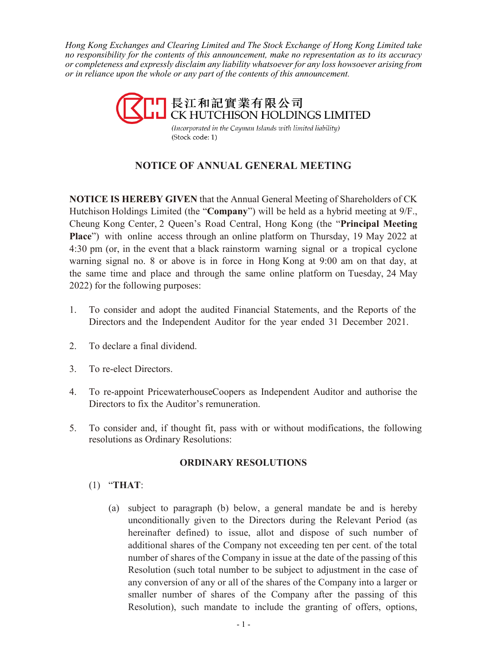*Hong Kong Exchanges and Clearing Limited and The Stock Exchange of Hong Kong Limited take no responsibility for the contents of this announcement, make no representation as to its accuracy or completeness and expressly disclaim any liability whatsoever for any loss howsoever arising from or in reliance upon the whole or any part of the contents of this announcement.*



(Incorporated in the Cayman Islands with limited liability) (Stock code: 1)

# **NOTICE OF ANNUAL GENERAL MEETING**

**NOTICE IS HEREBY GIVEN** that the Annual General Meeting of Shareholders of CK Hutchison Holdings Limited (the "**Company**") will be held as a hybrid meeting at 9/F., Cheung Kong Center, 2 Queen's Road Central, Hong Kong (the "**Principal Meeting Place**") with online access through an online platform on Thursday, 19 May 2022 at 4:30 pm (or, in the event that a black rainstorm warning signal or a tropical cyclone warning signal no. 8 or above is in force in Hong Kong at 9:00 am on that day, at the same time and place and through the same online platform on Tuesday, 24 May 2022) for the following purposes:

- 1. To consider and adopt the audited Financial Statements, and the Reports of the Directors and the Independent Auditor for the year ended 31 December 2021.
- 2. To declare a final dividend.
- 3. To re-elect Directors.
- 4. To re-appoint PricewaterhouseCoopers as Independent Auditor and authorise the Directors to fix the Auditor's remuneration.
- 5. To consider and, if thought fit, pass with or without modifications, the following resolutions as Ordinary Resolutions:

## **ORDINARY RESOLUTIONS**

- (1) "**THAT**:
	- (a) subject to paragraph (b) below, a general mandate be and is hereby unconditionally given to the Directors during the Relevant Period (as hereinafter defined) to issue, allot and dispose of such number of additional shares of the Company not exceeding ten per cent. of the total number of shares of the Company in issue at the date of the passing of this Resolution (such total number to be subject to adjustment in the case of any conversion of any or all of the shares of the Company into a larger or smaller number of shares of the Company after the passing of this Resolution), such mandate to include the granting of offers, options,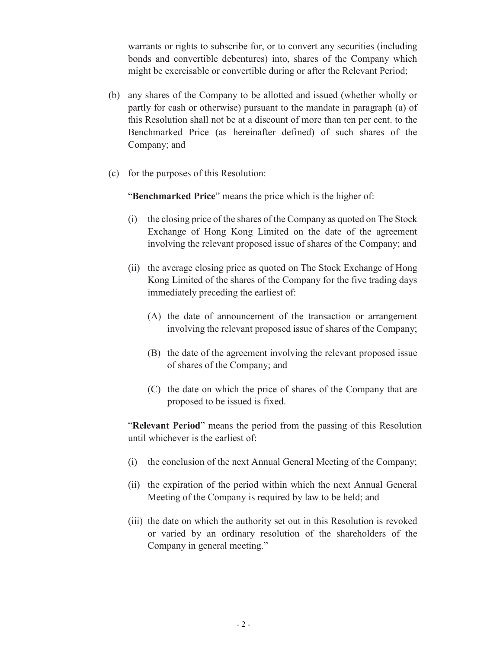warrants or rights to subscribe for, or to convert any securities (including bonds and convertible debentures) into, shares of the Company which might be exercisable or convertible during or after the Relevant Period;

- (b) any shares of the Company to be allotted and issued (whether wholly or partly for cash or otherwise) pursuant to the mandate in paragraph (a) of this Resolution shall not be at a discount of more than ten per cent. to the Benchmarked Price (as hereinafter defined) of such shares of the Company; and
- (c) for the purposes of this Resolution:

"**Benchmarked Price**" means the price which is the higher of:

- (i) the closing price of the shares of the Company as quoted on The Stock Exchange of Hong Kong Limited on the date of the agreement involving the relevant proposed issue of shares of the Company; and
- (ii) the average closing price as quoted on The Stock Exchange of Hong Kong Limited of the shares of the Company for the five trading days immediately preceding the earliest of:
	- (A) the date of announcement of the transaction or arrangement involving the relevant proposed issue of shares of the Company;
	- (B) the date of the agreement involving the relevant proposed issue of shares of the Company; and
	- (C) the date on which the price of shares of the Company that are proposed to be issued is fixed.

"**Relevant Period**" means the period from the passing of this Resolution until whichever is the earliest of:

- (i) the conclusion of the next Annual General Meeting of the Company;
- (ii) the expiration of the period within which the next Annual General Meeting of the Company is required by law to be held; and
- (iii) the date on which the authority set out in this Resolution is revoked or varied by an ordinary resolution of the shareholders of the Company in general meeting."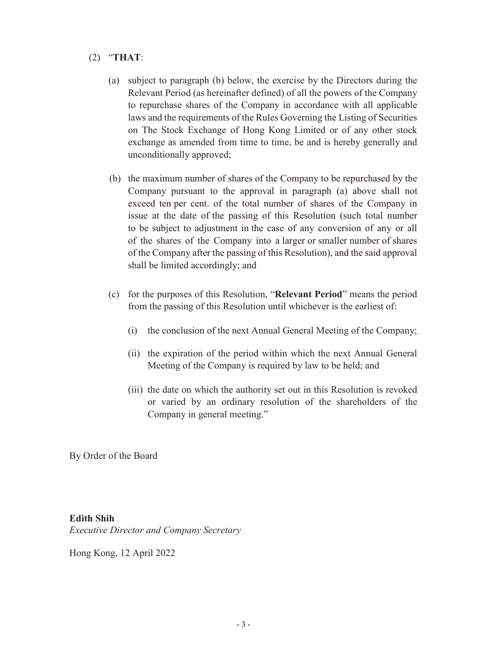## (2) "**THAT**:

- (a) subject to paragraph (b) below, the exercise by the Directors during the Relevant Period (as hereinafter defined) of all the powers of the Company to repurchase shares of the Company in accordance with all applicable laws and the requirements of the Rules Governing the Listing of Securities on The Stock Exchange of Hong Kong Limited or of any other stock exchange as amended from time to time, be and is hereby generally and unconditionally approved;
- (b) the maximum number of shares of the Company to be repurchased by the Company pursuant to the approval in paragraph (a) above shall not exceed ten per cent. of the total number of shares of the Company in issue at the date of the passing of this Resolution (such total number to be subject to adjustment in the case of any conversion of any or all of the shares of the Company into a larger or smaller number of shares of the Company after the passing of this Resolution), and the said approval shall be limited accordingly; and
- (c) for the purposes of this Resolution, "**Relevant Period**" means the period from the passing of this Resolution until whichever is the earliest of:
	- (i) the conclusion of the next Annual General Meeting of the Company;
	- (ii) the expiration of the period within which the next Annual General Meeting of the Company is required by law to be held; and
	- (iii) the date on which the authority set out in this Resolution is revoked or varied by an ordinary resolution of the shareholders of the Company in general meeting."

By Order of the Board

## **Edith Shih**

*Executive Director and Company Secretary*

Hong Kong, 12 April 2022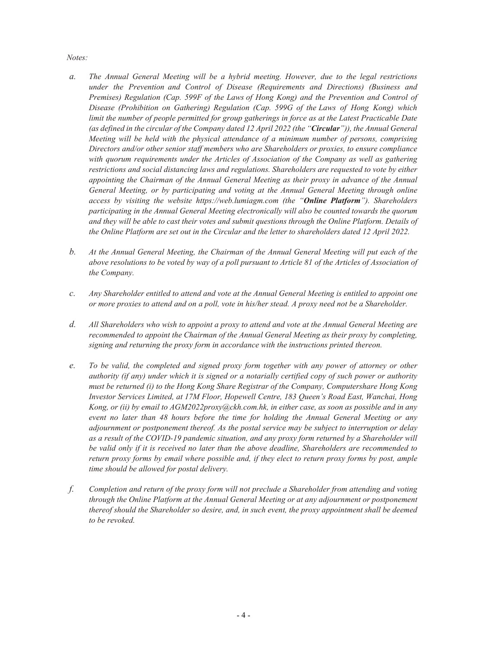#### *Notes:*

- *a. The Annual General Meeting will be a hybrid meeting. However, due to the legal restrictions under the Prevention and Control of Disease (Requirements and Directions) (Business and Premises) Regulation (Cap. 599F of the Laws of Hong Kong) and the Prevention and Control of Disease (Prohibition on Gathering) Regulation (Cap. 599G of the Laws of Hong Kong) which limit the number of people permitted for group gatherings in force as at the Latest Practicable Date (as defined in the circular of the Company dated 12 April 2022 (the "Circular")), the Annual General Meeting will be held with the physical attendance of a minimum number of persons, comprising Directors and/or other senior staff members who are Shareholders or proxies, to ensure compliance with quorum requirements under the Articles of Association of the Company as well as gathering restrictions and social distancing laws and regulations. Shareholders are requested to vote by either appointing the Chairman of the Annual General Meeting as their proxy in advance of the Annual General Meeting, or by participating and voting at the Annual General Meeting through online access by visiting the website https://web.lumiagm.com (the "Online Platform"). Shareholders participating in the Annual General Meeting electronically will also be counted towards the quorum and they will be able to cast their votes and submit questions through the Online Platform. Details of the Online Platform are set out in the Circular and the letter to shareholders dated 12 April 2022.*
- *b. At the Annual General Meeting, the Chairman of the Annual General Meeting will put each of the above resolutions to be voted by way of a poll pursuant to Article 81 of the Articles of Association of the Company.*
- *c. Any Shareholder entitled to attend and vote at the Annual General Meeting is entitled to appoint one or more proxies to attend and on a poll, vote in his/her stead. A proxy need not be a Shareholder.*
- *d. All Shareholders who wish to appoint a proxy to attend and vote at the Annual General Meeting are recommended to appoint the Chairman of the Annual General Meeting as their proxy by completing, signing and returning the proxy form in accordance with the instructions printed thereon.*
- *e. To be valid, the completed and signed proxy form together with any power of attorney or other authority (if any) under which it is signed or a notarially certified copy of such power or authority must be returned (i) to the Hong Kong Share Registrar of the Company, Computershare Hong Kong Investor Services Limited, at 17M Floor, Hopewell Centre, 183 Queen's Road East, Wanchai, Hong Kong, or (ii) by email to [AGM2022proxy@ckh.com.hk,](mailto:AGM2022proxy@ckh.com.hk) in either case, as soon as possible and in any event no later than 48 hours before the time for holding the Annual General Meeting or any adjournment or postponement thereof. As the postal service may be subject to interruption or delay as a result of the COVID-19 pandemic situation, and any proxy form returned by a Shareholder will be valid only if it is received no later than the above deadline, Shareholders are recommended to return proxy forms by email where possible and, if they elect to return proxy forms by post, ample time should be allowed for postal delivery.*
- *f. Completion and return of the proxy form will not preclude a Shareholder from attending and voting through the Online Platform at the Annual General Meeting or at any adjournment or postponement thereof should the Shareholder so desire, and, in such event, the proxy appointment shall be deemed to be revoked.*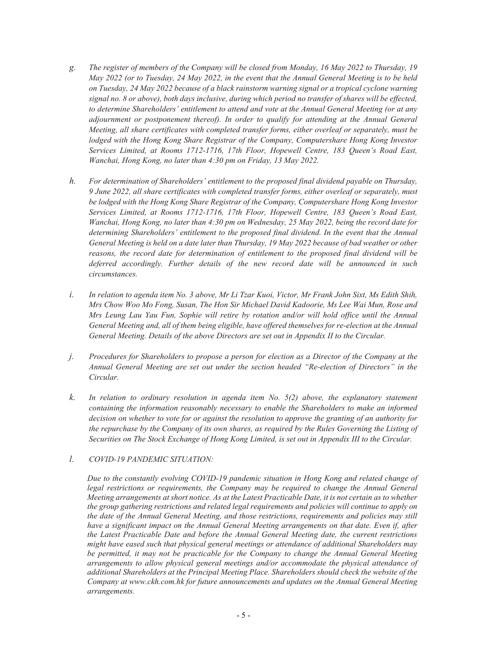- *g. The register of members of the Company will be closed from Monday, 16 May 2022 to Thursday, 19 May 2022 (or to Tuesday, 24 May 2022, in the event that the Annual General Meeting is to be held on Tuesday, 24 May 2022 because of a black rainstorm warning signal or a tropical cyclone warning signal no. 8 or above), both days inclusive, during which period no transfer of shares will be effected, to determine Shareholders' entitlement to attend and vote at the Annual General Meeting (or at any adjournment or postponement thereof). In order to qualify for attending at the Annual General Meeting, all share certificates with completed transfer forms, either overleaf or separately, must be lodged with the Hong Kong Share Registrar of the Company, Computershare Hong Kong Investor Services Limited, at Rooms 1712-1716, 17th Floor, Hopewell Centre, 183 Queen's Road East, Wanchai, Hong Kong, no later than 4:30 pm on Friday, 13 May 2022.*
- *h. For determination of Shareholders' entitlement to the proposed final dividend payable on Thursday, 9 June 2022, all share certificates with completed transfer forms, either overleaf or separately, must be lodged with the Hong Kong Share Registrar of the Company, Computershare Hong Kong Investor Services Limited, at Rooms 1712-1716, 17th Floor, Hopewell Centre, 183 Queen's Road East, Wanchai, Hong Kong, no later than 4:30 pm on Wednesday, 25 May 2022, being the record date for determining Shareholders' entitlement to the proposed final dividend. In the event that the Annual General Meeting is held on a date later than Thursday, 19 May 2022 because of bad weather or other reasons, the record date for determination of entitlement to the proposed final dividend will be deferred accordingly. Further details of the new record date will be announced in such circumstances.*
- *i. In relation to agenda item No. 3 above, Mr Li Tzar Kuoi, Victor, Mr Frank John Sixt, Ms Edith Shih, Mrs Chow Woo Mo Fong, Susan, The Hon Sir Michael David Kadoorie, Ms Lee Wai Mun, Rose and Mrs Leung Lau Yau Fun, Sophie will retire by rotation and/or will hold office until the Annual General Meeting and, all of them being eligible, have offered themselves for re-election at the Annual General Meeting. Details of the above Directors are set out in Appendix II to the Circular.*
- *j. Procedures for Shareholders to propose a person for election as a Director of the Company at the Annual General Meeting are set out under the section headed "Re-election of Directors" in the Circular.*
- *k. In relation to ordinary resolution in agenda item No. 5(2) above, the explanatory statement containing the information reasonably necessary to enable the Shareholders to make an informed decision on whether to vote for or against the resolution to approve the granting of an authority for the repurchase by the Company of its own shares, as required by the Rules Governing the Listing of Securities on The Stock Exchange of Hong Kong Limited, is set out in Appendix III to the Circular.*

#### *l. COVID-19 PANDEMIC SITUATION:*

*Due to the constantly evolving COVID-19 pandemic situation in Hong Kong and related change of legal restrictions or requirements, the Company may be required to change the Annual General Meeting arrangements at short notice. As at the Latest Practicable Date, it is not certain as to whether the group gathering restrictions and related legal requirements and policies will continue to apply on the date of the Annual General Meeting, and those restrictions, requirements and policies may still have a significant impact on the Annual General Meeting arrangements on that date. Even if, after the Latest Practicable Date and before the Annual General Meeting date, the current restrictions might have eased such that physical general meetings or attendance of additional Shareholders may be permitted, it may not be practicable for the Company to change the Annual General Meeting arrangements to allow physical general meetings and/or accommodate the physical attendance of additional Shareholders at the Principal Meeting Place. Shareholders should check the website of the Company at www.ckh.com.hk for future announcements and updates on the Annual General Meeting arrangements.*